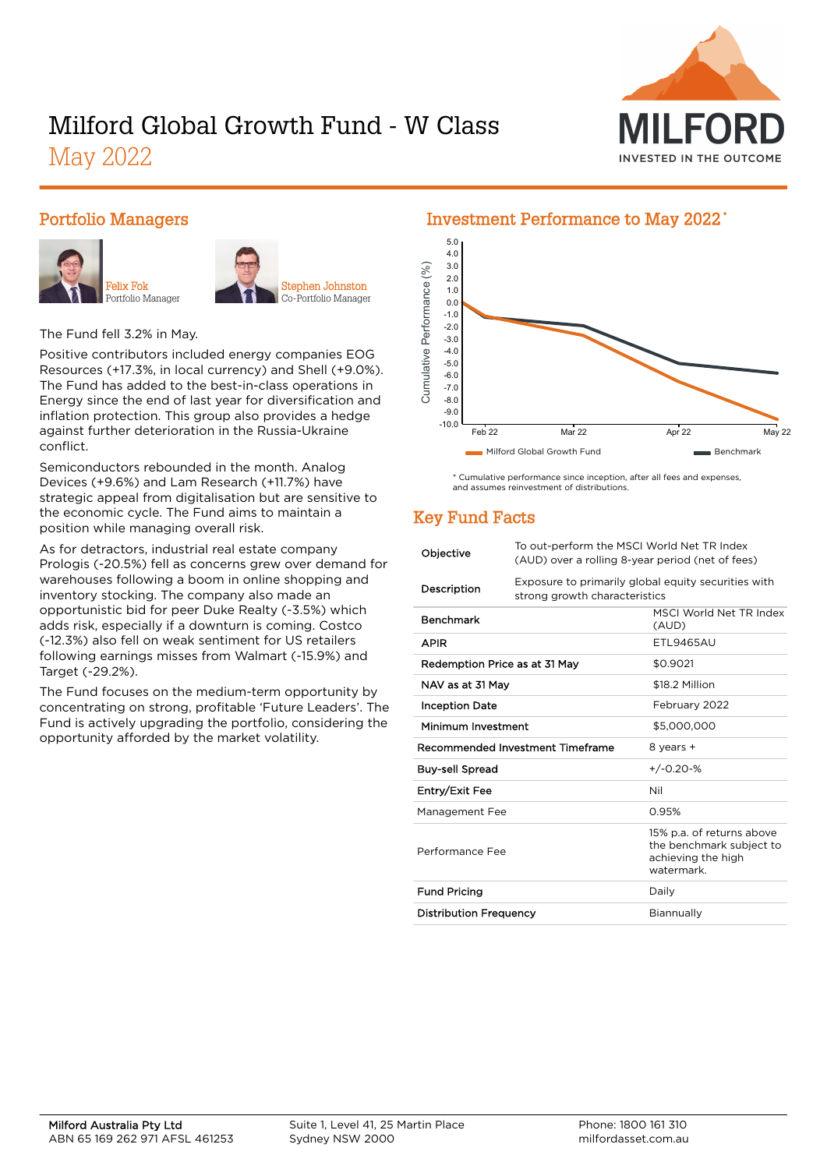

# Milford Global Growth Fund - W Class

May 2022

#### Portfolio Managers





The Fund fell 3.2% in May.

Positive contributors included energy companies EOG Resources (+17.3%, in local currency) and Shell (+9.0%). The Fund has added to the best-in-class operations in Energy since the end of last year for diversification and inflation protection. This group also provides a hedge against further deterioration in the Russia-Ukraine conflict.

Semiconductors rebounded in the month. Analog Devices (+9.6%) and Lam Research (+11.7%) have strategic appeal from digitalisation but are sensitive to the economic cycle. The Fund aims to maintain a position while managing overall risk.

As for detractors, industrial real estate company Prologis (-20.5%) fell as concerns grew over demand for warehouses following a boom in online shopping and inventory stocking. The company also made an opportunistic bid for peer Duke Realty (-3.5%) which adds risk, especially if a downturn is coming. Costco (-12.3%) also fell on weak sentiment for US retailers following earnings misses from Walmart (-15.9%) and Target (-29.2%).

The Fund focuses on the medium-term opportunity by concentrating on strong, profitable 'Future Leaders'. The Fund is actively upgrading the portfolio, considering the opportunity afforded by the market volatility.



#### \* Cumulative performance since inception, after all fees and expenses, and assumes reinvestment of distributions.

# Key Fund Facts

| Objective                     | To out-perform the MSCI World Net TR Index<br>(AUD) over a rolling 8-year period (net of fees) |                                                                                          |  |  |
|-------------------------------|------------------------------------------------------------------------------------------------|------------------------------------------------------------------------------------------|--|--|
| Description                   | Exposure to primarily global equity securities with<br>strong growth characteristics           |                                                                                          |  |  |
| <b>Benchmark</b>              |                                                                                                | MSCI World Net TR Index<br>(AUD)                                                         |  |  |
| <b>APIR</b>                   |                                                                                                | <b>FTI 9465AU</b>                                                                        |  |  |
| Redemption Price as at 31 May |                                                                                                | \$0.9021                                                                                 |  |  |
| NAV as at 31 May              |                                                                                                | \$18.2 Million                                                                           |  |  |
| <b>Inception Date</b>         |                                                                                                | February 2022                                                                            |  |  |
| Minimum Investment            |                                                                                                | \$5,000,000                                                                              |  |  |
|                               | Recommended Investment Timeframe                                                               | 8 years +                                                                                |  |  |
| <b>Buy-sell Spread</b>        |                                                                                                | $+/-0.20-%$                                                                              |  |  |
| Entry/Exit Fee                |                                                                                                | Nil                                                                                      |  |  |
| Management Fee                |                                                                                                | 0.95%                                                                                    |  |  |
| Performance Fee               |                                                                                                | 15% p.a. of returns above<br>the benchmark subject to<br>achieving the high<br>watermark |  |  |
| <b>Fund Pricing</b>           |                                                                                                | Daily                                                                                    |  |  |
| <b>Distribution Frequency</b> |                                                                                                | Biannually                                                                               |  |  |
|                               |                                                                                                |                                                                                          |  |  |

#### Investment Performance to May 2022 \*